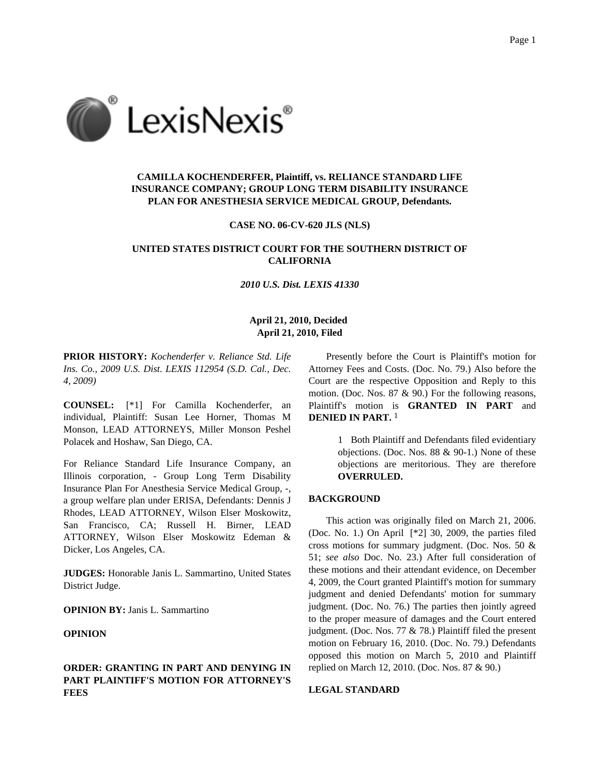

## **CAMILLA KOCHENDERFER, Plaintiff, vs. RELIANCE STANDARD LIFE INSURANCE COMPANY; GROUP LONG TERM DISABILITY INSURANCE PLAN FOR ANESTHESIA SERVICE MEDICAL GROUP, Defendants.**

#### **CASE NO. 06-CV-620 JLS (NLS)**

## **UNITED STATES DISTRICT COURT FOR THE SOUTHERN DISTRICT OF CALIFORNIA**

#### *2010 U.S. Dist. LEXIS 41330*

### **April 21, 2010, Decided April 21, 2010, Filed**

**PRIOR HISTORY:** *Kochenderfer v. Reliance Std. Life Ins. Co., 2009 U.S. Dist. LEXIS 112954 (S.D. Cal., Dec. 4, 2009)*

**COUNSEL:** [\*1] For Camilla Kochenderfer, an individual, Plaintiff: Susan Lee Horner, Thomas M Monson, LEAD ATTORNEYS, Miller Monson Peshel Polacek and Hoshaw, San Diego, CA.

For Reliance Standard Life Insurance Company, an Illinois corporation, - Group Long Term Disability Insurance Plan For Anesthesia Service Medical Group, -, a group welfare plan under ERISA, Defendants: Dennis J Rhodes, LEAD ATTORNEY, Wilson Elser Moskowitz, San Francisco, CA; Russell H. Birner, LEAD ATTORNEY, Wilson Elser Moskowitz Edeman & Dicker, Los Angeles, CA.

**JUDGES:** Honorable Janis L. Sammartino, United States District Judge.

**OPINION BY:** Janis L. Sammartino

#### **OPINION**

## **ORDER: GRANTING IN PART AND DENYING IN PART PLAINTIFF'S MOTION FOR ATTORNEY'S FEES**

Presently before the Court is Plaintiff's motion for Attorney Fees and Costs. (Doc. No. 79.) Also before the Court are the respective Opposition and Reply to this motion. (Doc. Nos. 87 & 90.) For the following reasons, Plaintiff's motion is **GRANTED IN PART** and **DENIED IN PART.** 1

> 1 Both Plaintiff and Defendants filed evidentiary objections. (Doc. Nos. 88 & 90-1.) None of these objections are meritorious. They are therefore **OVERRULED.**

#### **BACKGROUND**

This action was originally filed on March 21, 2006. (Doc. No. 1.) On April [\*2] 30, 2009, the parties filed cross motions for summary judgment. (Doc. Nos. 50 & 51; *see also* Doc. No. 23.) After full consideration of these motions and their attendant evidence, on December 4, 2009, the Court granted Plaintiff's motion for summary judgment and denied Defendants' motion for summary judgment. (Doc. No. 76.) The parties then jointly agreed to the proper measure of damages and the Court entered judgment. (Doc. Nos. 77 & 78.) Plaintiff filed the present motion on February 16, 2010. (Doc. No. 79.) Defendants opposed this motion on March 5, 2010 and Plaintiff replied on March 12, 2010. (Doc. Nos. 87 & 90.)

## **LEGAL STANDARD**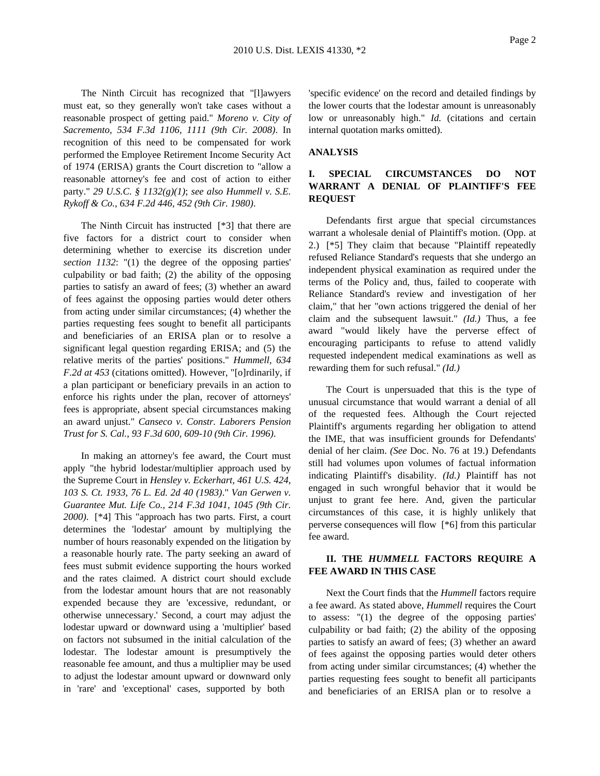The Ninth Circuit has recognized that "[l]awyers must eat, so they generally won't take cases without a reasonable prospect of getting paid." *Moreno v. City of Sacremento, 534 F.3d 1106, 1111 (9th Cir. 2008)*. In recognition of this need to be compensated for work performed the Employee Retirement Income Security Act of 1974 (ERISA) grants the Court discretion to "allow a reasonable attorney's fee and cost of action to either party." *29 U.S.C. § 1132(g)(1)*; *see also Hummell v. S.E. Rykoff & Co., 634 F.2d 446, 452 (9th Cir. 1980)*.

The Ninth Circuit has instructed [\*3] that there are five factors for a district court to consider when determining whether to exercise its discretion under *section 1132*: "(1) the degree of the opposing parties' culpability or bad faith; (2) the ability of the opposing parties to satisfy an award of fees; (3) whether an award of fees against the opposing parties would deter others from acting under similar circumstances; (4) whether the parties requesting fees sought to benefit all participants and beneficiaries of an ERISA plan or to resolve a significant legal question regarding ERISA; and (5) the relative merits of the parties' positions." *Hummell, 634 F.2d at 453* (citations omitted). However, "[o]rdinarily, if a plan participant or beneficiary prevails in an action to enforce his rights under the plan, recover of attorneys' fees is appropriate, absent special circumstances making an award unjust." *Canseco v. Constr. Laborers Pension Trust for S. Cal., 93 F.3d 600, 609-10 (9th Cir. 1996)*.

In making an attorney's fee award, the Court must apply "the hybrid lodestar/multiplier approach used by the Supreme Court in *Hensley v. Eckerhart, 461 U.S. 424, 103 S. Ct. 1933, 76 L. Ed. 2d 40 (1983)*." *Van Gerwen v. Guarantee Mut. Life Co., 214 F.3d 1041, 1045 (9th Cir. 2000)*. [\*4] This "approach has two parts. First, a court determines the 'lodestar' amount by multiplying the number of hours reasonably expended on the litigation by a reasonable hourly rate. The party seeking an award of fees must submit evidence supporting the hours worked and the rates claimed. A district court should exclude from the lodestar amount hours that are not reasonably expended because they are 'excessive, redundant, or otherwise unnecessary.' Second, a court may adjust the lodestar upward or downward using a 'multiplier' based on factors not subsumed in the initial calculation of the lodestar. The lodestar amount is presumptively the reasonable fee amount, and thus a multiplier may be used to adjust the lodestar amount upward or downward only in 'rare' and 'exceptional' cases, supported by both

'specific evidence' on the record and detailed findings by the lower courts that the lodestar amount is unreasonably low or unreasonably high." *Id.* (citations and certain internal quotation marks omitted).

#### **ANALYSIS**

# **I. SPECIAL CIRCUMSTANCES DO NOT WARRANT A DENIAL OF PLAINTIFF'S FEE REQUEST**

Defendants first argue that special circumstances warrant a wholesale denial of Plaintiff's motion. (Opp. at 2.) [\*5] They claim that because "Plaintiff repeatedly refused Reliance Standard's requests that she undergo an independent physical examination as required under the terms of the Policy and, thus, failed to cooperate with Reliance Standard's review and investigation of her claim," that her "own actions triggered the denial of her claim and the subsequent lawsuit." *(Id.)* Thus, a fee award "would likely have the perverse effect of encouraging participants to refuse to attend validly requested independent medical examinations as well as rewarding them for such refusal." *(Id.)*

The Court is unpersuaded that this is the type of unusual circumstance that would warrant a denial of all of the requested fees. Although the Court rejected Plaintiff's arguments regarding her obligation to attend the IME, that was insufficient grounds for Defendants' denial of her claim. *(See* Doc. No. 76 at 19.) Defendants still had volumes upon volumes of factual information indicating Plaintiff's disability. *(Id.)* Plaintiff has not engaged in such wrongful behavior that it would be unjust to grant fee here. And, given the particular circumstances of this case, it is highly unlikely that perverse consequences will flow [\*6] from this particular fee award.

## **II. THE** *HUMMELL* **FACTORS REQUIRE A FEE AWARD IN THIS CASE**

Next the Court finds that the *Hummell* factors require a fee award. As stated above, *Hummell* requires the Court to assess: "(1) the degree of the opposing parties' culpability or bad faith; (2) the ability of the opposing parties to satisfy an award of fees; (3) whether an award of fees against the opposing parties would deter others from acting under similar circumstances; (4) whether the parties requesting fees sought to benefit all participants and beneficiaries of an ERISA plan or to resolve a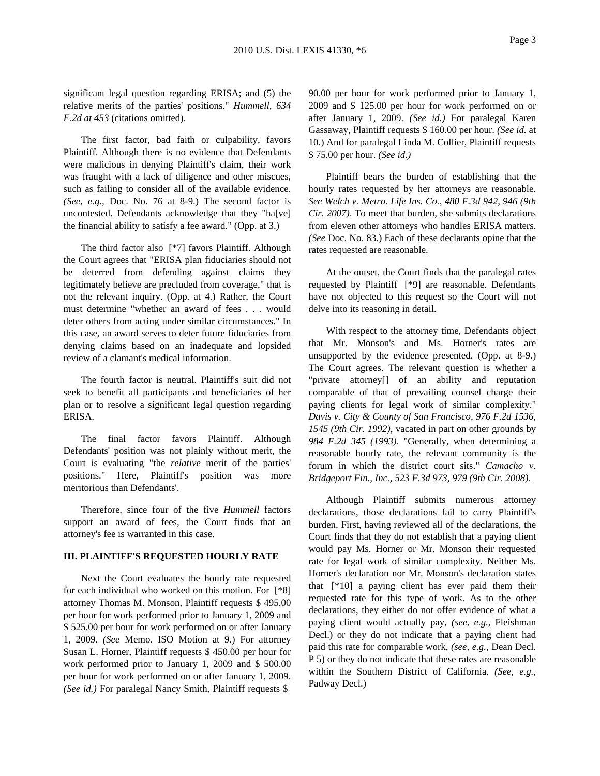significant legal question regarding ERISA; and (5) the relative merits of the parties' positions." *Hummell, 634 F.2d at 453* (citations omitted).

The first factor, bad faith or culpability, favors Plaintiff. Although there is no evidence that Defendants were malicious in denying Plaintiff's claim, their work was fraught with a lack of diligence and other miscues, such as failing to consider all of the available evidence. *(See, e.g.,* Doc. No. 76 at 8-9.) The second factor is uncontested. Defendants acknowledge that they "ha[ve] the financial ability to satisfy a fee award." (Opp. at 3.)

The third factor also [\*7] favors Plaintiff. Although the Court agrees that "ERISA plan fiduciaries should not be deterred from defending against claims they legitimately believe are precluded from coverage," that is not the relevant inquiry. (Opp. at 4.) Rather, the Court must determine "whether an award of fees . . . would deter others from acting under similar circumstances." In this case, an award serves to deter future fiduciaries from denying claims based on an inadequate and lopsided review of a clamant's medical information.

The fourth factor is neutral. Plaintiff's suit did not seek to benefit all participants and beneficiaries of her plan or to resolve a significant legal question regarding ERISA.

The final factor favors Plaintiff. Although Defendants' position was not plainly without merit, the Court is evaluating "the *relative* merit of the parties' positions." Here, Plaintiff's position was more meritorious than Defendants'.

Therefore, since four of the five *Hummell* factors support an award of fees, the Court finds that an attorney's fee is warranted in this case.

#### **III. PLAINTIFF'S REQUESTED HOURLY RATE**

Next the Court evaluates the hourly rate requested for each individual who worked on this motion. For [\*8] attorney Thomas M. Monson, Plaintiff requests \$ 495.00 per hour for work performed prior to January 1, 2009 and \$ 525.00 per hour for work performed on or after January 1, 2009. *(See* Memo. ISO Motion at 9.) For attorney Susan L. Horner, Plaintiff requests \$ 450.00 per hour for work performed prior to January 1, 2009 and \$ 500.00 per hour for work performed on or after January 1, 2009. *(See id.)* For paralegal Nancy Smith, Plaintiff requests \$

90.00 per hour for work performed prior to January 1, 2009 and \$ 125.00 per hour for work performed on or after January 1, 2009. *(See id.)* For paralegal Karen Gassaway, Plaintiff requests \$ 160.00 per hour. *(See id.* at 10.) And for paralegal Linda M. Collier, Plaintiff requests \$ 75.00 per hour. *(See id.)*

Plaintiff bears the burden of establishing that the hourly rates requested by her attorneys are reasonable. *See Welch v. Metro. Life Ins. Co., 480 F.3d 942, 946 (9th Cir. 2007)*. To meet that burden, she submits declarations from eleven other attorneys who handles ERISA matters. *(See* Doc. No. 83.) Each of these declarants opine that the rates requested are reasonable.

At the outset, the Court finds that the paralegal rates requested by Plaintiff [\*9] are reasonable. Defendants have not objected to this request so the Court will not delve into its reasoning in detail.

With respect to the attorney time, Defendants object that Mr. Monson's and Ms. Horner's rates are unsupported by the evidence presented. (Opp. at 8-9.) The Court agrees. The relevant question is whether a "private attorney[] of an ability and reputation comparable of that of prevailing counsel charge their paying clients for legal work of similar complexity." *Davis v. City & County of San Francisco, 976 F.2d 1536, 1545 (9th Cir. 1992)*, vacated in part on other grounds by *984 F.2d 345 (1993)*. "Generally, when determining a reasonable hourly rate, the relevant community is the forum in which the district court sits." *Camacho v. Bridgeport Fin., Inc., 523 F.3d 973, 979 (9th Cir. 2008)*.

Although Plaintiff submits numerous attorney declarations, those declarations fail to carry Plaintiff's burden. First, having reviewed all of the declarations, the Court finds that they do not establish that a paying client would pay Ms. Horner or Mr. Monson their requested rate for legal work of similar complexity. Neither Ms. Horner's declaration nor Mr. Monson's declaration states that [\*10] a paying client has ever paid them their requested rate for this type of work. As to the other declarations, they either do not offer evidence of what a paying client would actually pay, *(see, e.g.,* Fleishman Decl.) or they do not indicate that a paying client had paid this rate for comparable work, *(see, e.g.,* Dean Decl. P 5) or they do not indicate that these rates are reasonable within the Southern District of California. *(See, e.g.,* Padway Decl.)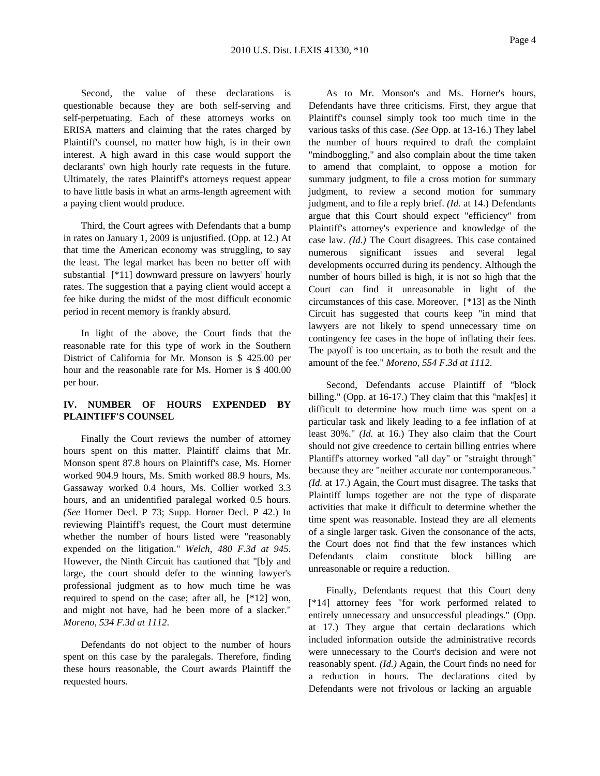Second, the value of these declarations is questionable because they are both self-serving and self-perpetuating. Each of these attorneys works on ERISA matters and claiming that the rates charged by Plaintiff's counsel, no matter how high, is in their own interest. A high award in this case would support the declarants' own high hourly rate requests in the future. Ultimately, the rates Plaintiff's attorneys request appear to have little basis in what an arms-length agreement with a paying client would produce.

Third, the Court agrees with Defendants that a bump in rates on January 1, 2009 is unjustified. (Opp. at 12.) At that time the American economy was struggling, to say the least. The legal market has been no better off with substantial [\*11] downward pressure on lawyers' hourly rates. The suggestion that a paying client would accept a fee hike during the midst of the most difficult economic period in recent memory is frankly absurd.

In light of the above, the Court finds that the reasonable rate for this type of work in the Southern District of California for Mr. Monson is \$ 425.00 per hour and the reasonable rate for Ms. Horner is \$ 400.00 per hour.

## **IV. NUMBER OF HOURS EXPENDED BY PLAINTIFF'S COUNSEL**

Finally the Court reviews the number of attorney hours spent on this matter. Plaintiff claims that Mr. Monson spent 87.8 hours on Plaintiff's case, Ms. Horner worked 904.9 hours, Ms. Smith worked 88.9 hours, Ms. Gassaway worked 0.4 hours, Ms. Collier worked 3.3 hours, and an unidentified paralegal worked 0.5 hours. *(See* Horner Decl. P 73; Supp. Horner Decl. P 42.) In reviewing Plaintiff's request, the Court must determine whether the number of hours listed were "reasonably expended on the litigation." *Welch, 480 F.3d at 945*. However, the Ninth Circuit has cautioned that "[b]y and large, the court should defer to the winning lawyer's professional judgment as to how much time he was required to spend on the case; after all, he [\*12] won, and might not have, had he been more of a slacker." *Moreno, 534 F.3d at 1112*.

Defendants do not object to the number of hours spent on this case by the paralegals. Therefore, finding these hours reasonable, the Court awards Plaintiff the requested hours.

As to Mr. Monson's and Ms. Horner's hours, Defendants have three criticisms. First, they argue that Plaintiff's counsel simply took too much time in the various tasks of this case. *(See* Opp. at 13-16.) They label the number of hours required to draft the complaint "mindboggling," and also complain about the time taken to amend that complaint, to oppose a motion for summary judgment, to file a cross motion for summary judgment, to review a second motion for summary judgment, and to file a reply brief. *(Id.* at 14.) Defendants argue that this Court should expect "efficiency" from Plaintiff's attorney's experience and knowledge of the case law. *(Id.)* The Court disagrees. This case contained numerous significant issues and several legal developments occurred during its pendency. Although the number of hours billed is high, it is not so high that the Court can find it unreasonable in light of the circumstances of this case. Moreover, [\*13] as the Ninth Circuit has suggested that courts keep "in mind that lawyers are not likely to spend unnecessary time on contingency fee cases in the hope of inflating their fees. The payoff is too uncertain, as to both the result and the amount of the fee." *Moreno, 554 F.3d at 1112*.

Second, Defendants accuse Plaintiff of "block billing." (Opp. at 16-17.) They claim that this "mak[es] it difficult to determine how much time was spent on a particular task and likely leading to a fee inflation of at least 30%." *(Id.* at 16.) They also claim that the Court should not give creedence to certain billing entries where Plantiff's attorney worked "all day" or "straight through" because they are "neither accurate nor contemporaneous." *(Id.* at 17.) Again, the Court must disagree. The tasks that Plaintiff lumps together are not the type of disparate activities that make it difficult to determine whether the time spent was reasonable. Instead they are all elements of a single larger task. Given the consonance of the acts, the Court does not find that the few instances which Defendants claim constitute block billing are unreasonable or require a reduction.

Finally, Defendants request that this Court deny [\*14] attorney fees "for work performed related to entirely unnecessary and unsuccessful pleadings." (Opp. at 17.) They argue that certain declarations which included information outside the administrative records were unnecessary to the Court's decision and were not reasonably spent. *(Id.)* Again, the Court finds no need for a reduction in hours. The declarations cited by Defendants were not frivolous or lacking an arguable